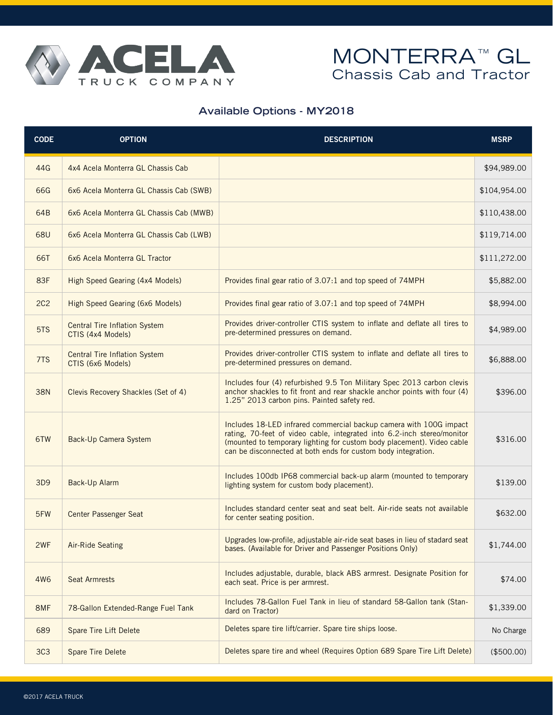

## MONTERRA<sup>™</sup> GL Chassis Cab and Tractor

## **Available Options - MY2018**

| <b>CODE</b>     | <b>OPTION</b>                                             | <b>DESCRIPTION</b>                                                                                                                                                                                                                                                                       | <b>MSRP</b>  |
|-----------------|-----------------------------------------------------------|------------------------------------------------------------------------------------------------------------------------------------------------------------------------------------------------------------------------------------------------------------------------------------------|--------------|
| 44G             | 4x4 Acela Monterra GL Chassis Cab                         |                                                                                                                                                                                                                                                                                          | \$94,989.00  |
| 66G             | 6x6 Acela Monterra GL Chassis Cab (SWB)                   |                                                                                                                                                                                                                                                                                          | \$104,954.00 |
| 64B             | 6x6 Acela Monterra GL Chassis Cab (MWB)                   |                                                                                                                                                                                                                                                                                          | \$110,438.00 |
| <b>68U</b>      | 6x6 Acela Monterra GL Chassis Cab (LWB)                   |                                                                                                                                                                                                                                                                                          | \$119,714.00 |
| 66T             | 6x6 Acela Monterra GL Tractor                             |                                                                                                                                                                                                                                                                                          | \$111,272.00 |
| 83F             | High Speed Gearing (4x4 Models)                           | Provides final gear ratio of 3.07:1 and top speed of 74MPH                                                                                                                                                                                                                               | \$5,882.00   |
| 2C <sub>2</sub> | High Speed Gearing (6x6 Models)                           | Provides final gear ratio of 3.07:1 and top speed of 74MPH                                                                                                                                                                                                                               | \$8,994.00   |
| 5TS             | <b>Central Tire Inflation System</b><br>CTIS (4x4 Models) | Provides driver-controller CTIS system to inflate and deflate all tires to<br>pre-determined pressures on demand.                                                                                                                                                                        | \$4,989.00   |
| 7TS             | <b>Central Tire Inflation System</b><br>CTIS (6x6 Models) | Provides driver-controller CTIS system to inflate and deflate all tires to<br>pre-determined pressures on demand.                                                                                                                                                                        | \$6,888.00   |
| <b>38N</b>      | Clevis Recovery Shackles (Set of 4)                       | Includes four (4) refurbished 9.5 Ton Military Spec 2013 carbon clevis<br>anchor shackles to fit front and rear shackle anchor points with four (4)<br>1.25" 2013 carbon pins. Painted safety red.                                                                                       | \$396.00     |
| 6TW             | Back-Up Camera System                                     | Includes 18-LED infrared commercial backup camera with 100G impact<br>rating, 70-feet of video cable, integrated into 6.2-inch stereo/monitor<br>(mounted to temporary lighting for custom body placement). Video cable<br>can be disconnected at both ends for custom body integration. | \$316.00     |
| 3D9             | Back-Up Alarm                                             | Includes 100db IP68 commercial back-up alarm (mounted to temporary<br>lighting system for custom body placement).                                                                                                                                                                        | \$139.00     |
| 5FW             | <b>Center Passenger Seat</b>                              | Includes standard center seat and seat belt. Air-ride seats not available<br>for center seating position.                                                                                                                                                                                | \$632.00     |
| 2WF             | <b>Air-Ride Seating</b>                                   | Upgrades low-profile, adjustable air-ride seat bases in lieu of stadard seat<br>bases. (Available for Driver and Passenger Positions Only)                                                                                                                                               | \$1,744.00   |
| <b>4W6</b>      | <b>Seat Armrests</b>                                      | Includes adjustable, durable, black ABS armrest. Designate Position for<br>each seat. Price is per armrest.                                                                                                                                                                              | \$74.00      |
| 8MF             | 78-Gallon Extended-Range Fuel Tank                        | Includes 78-Gallon Fuel Tank in lieu of standard 58-Gallon tank (Stan-<br>dard on Tractor)                                                                                                                                                                                               | \$1,339.00   |
| 689             | Spare Tire Lift Delete                                    | Deletes spare tire lift/carrier. Spare tire ships loose.                                                                                                                                                                                                                                 | No Charge    |
| 3C <sub>3</sub> | <b>Spare Tire Delete</b>                                  | Deletes spare tire and wheel (Requires Option 689 Spare Tire Lift Delete)                                                                                                                                                                                                                | (\$500.00)   |